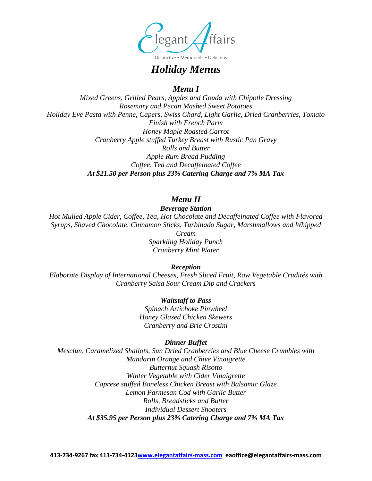

*Holiday Menus*

*Menu I*

*Mixed Greens, Grilled Pears, Apples and Gouda with Chipotle Dressing Rosemary and Pecan Mashed Sweet Potatoes Holiday Eve Pasta with Penne, Capers, Swiss Chard, Light Garlic, Dried Cranberries, Tomato Finish with French Parm Honey Maple Roasted Carrot Cranberry Apple stuffed Turkey Breast with Rustic Pan Gravy Rolls and Butter Apple Rum Bread Pudding Coffee, Tea and Decaffeinated Coffee At \$21.50 per Person plus 23% Catering Charge and 7% MA Tax*

# *Menu II*

*Beverage Station Hot Mulled Apple Cider, Coffee, Tea, Hot Chocolate and Decaffeinated Coffee with Flavored Syrups, Shaved Chocolate, Cinnamon Sticks, Turbinado Sugar, Marshmallows and Whipped Cream Sparkling Holiday Punch Cranberry Mint Water*

*Reception*

*Elaborate Display of International Cheeses, Fresh Sliced Fruit, Raw Vegetable Crudités with Cranberry Salsa Sour Cream Dip and Crackers*

> *Waitstaff to Pass Spinach Artichoke Pinwheel Honey Glazed Chicken Skewers Cranberry and Brie Crostini*

# *Dinner Buffet*

*Mesclun, Caramelized Shallots, Sun Dried Cranberries and Blue Cheese Crumbles with Mandarin Orange and Chive Vinaigrette Butternut Squash Risotto Winter Vegetable with Cider Vinaigrette Caprese stuffed Boneless Chicken Breast with Balsamic Glaze Lemon Parmesan Cod with Garlic Butter Rolls, Breadsticks and Butter Individual Dessert Shooters At \$35.95 per Person plus 23% Catering Charge and 7% MA Tax*